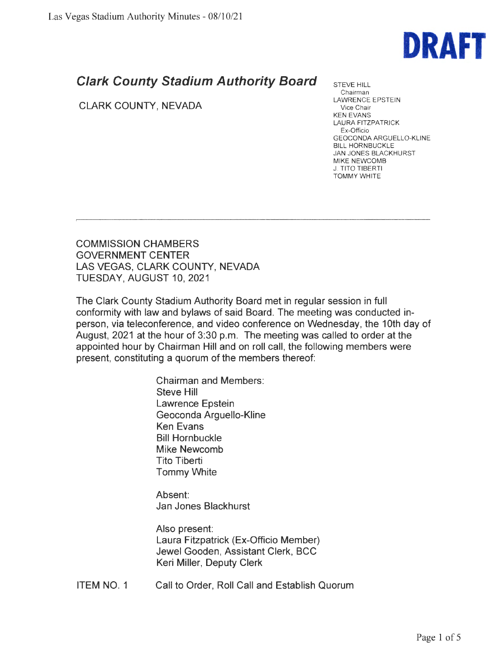

## **Clark County Stadium Authority Board**

## CLARK COUNTY, NEVADA

STEVE HILL Chairman LAWRENCE EPSTEIN Vice Chair KEN EVANS LAURA FITZPATRICK Ex-Officio GEOCONDA ARGUELLO-KLINE BILL HORNBUCKLE JAN JONES BLACKHURST MIKE NEWCOMB J. TITO TIBERTI TOMMY WHITE

COMMISSION CHAMBERS GOVERNMENT CENTER LAS VEGAS, CLARK COUNTY, NEVADA TUESDAY, AUGUST 10, 2021

The Clark County Stadium Authority Board met in regular session in full conformity with law and bylaws of said Board. The meeting was conducted inperson, via teleconference, and video conference on Wednesday, the 10th day of August, 2021 at the hour of 3:30 p.m. The meeting was called to order at the appointed hour by Chairman Hill and on roll call, the following members were present, constituting a quorum of the members thereof:

> Chairman and Members: Steve Hill Lawrence Epstein Geoconda Arguello-Kline Ken Evans Bill Hornbuckle Mike Newcomb Tito Tiberti Tommy White

Absent: Jan Jones Blackhurst

Also present: Laura Fitzpatrick (Ex-Officio Member) Jewel Gooden, Assistant Clerk, BCC Keri Miller, Deputy Clerk

ITEM NO. 1 Call to Order, Roll Call and Establish Quorum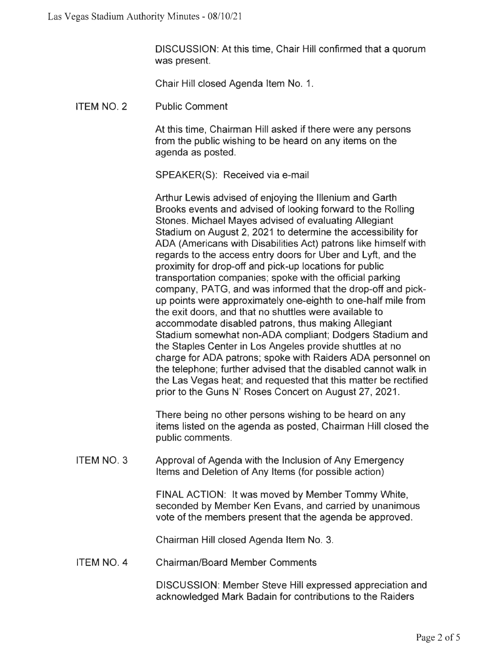DISCUSSION: At this time, Chair Hill confirmed that a quorum was present.

Chair Hill closed Agenda Item No. 1.

ITEM NO. 2 Public Comment

> At this time, Chairman Hill asked if there were any persons from the public wishing to be heard on any items on the agenda as posted.

SPEAKER(S): Received via e-mail

Arthur Lewis advised of enjoying the lllenium and Garth Brooks events and advised of looking forward to the Rolling Stones. Michael Mayes advised of evaluating Allegiant Stadium on August 2, 2021 to determine the accessibility for ADA (Americans with Disabilities Act) patrons like himself with regards to the access entry doors for Uber and Lyft, and the proximity for drop-off and pick-up locations for public transportation companies; spoke with the official parking company, PATG, and was informed that the drop-off and pickup points were approximately one-eighth to one-half mile from the exit doors, and that no shuttles were available to accommodate disabled patrons, thus making Allegiant Stadium somewhat non-ADA compliant; Dodgers Stadium and the Staples Center in Los Angeles provide shuttles at no charge for ADA patrons; spoke with Raiders ADA personnel on the telephone; further advised that the disabled cannot walk in the Las Vegas heat; and requested that this matter be rectified prior to the Guns N' Roses Concert on August 27, 2021.

There being no other persons wishing to be heard on any items listed on the agenda as posted, Chairman Hill closed the public comments.

ITEM NO. 3 Approval of Agenda with the Inclusion of Any Emergency Items and Deletion of Any Items (for possible action)

> FINAL ACTION: It was moved by Member Tommy White, seconded by Member Ken Evans, and carried by unanimous vote of the members present that the agenda be approved.

Chairman Hill closed Agenda Item No. 3.

ITEM NO. 4 Chairman/Board Member Comments

> DISCUSSION: Member Steve Hill expressed appreciation and acknowledged Mark Badain for contributions to the Raiders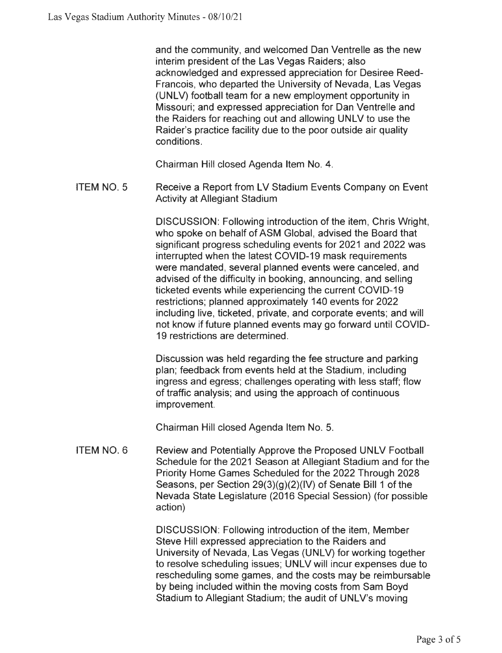and the community, and welcomed Dan Ventrelle as the new interim president of the Las Vegas Raiders; also acknowledged and expressed appreciation for Desiree Reed-Francois, who departed the University of Nevada, Las Vegas (UNLV) football team for a new employment opportunity in Missouri; and expressed appreciation for Dan Ventrelle and the Raiders for reaching out and allowing UNLV to use the Raider's practice facility due to the poor outside air quality conditions.

Chairman Hill closed Agenda Item **No. 4.** 

ITEM NO. 5 Receive a Report from LV Stadium Events Company on Event Activity at Allegiant Stadium

> DISCUSSION: Following introduction of the item, Chris Wright, who spoke on behalf of ASM Global, advised the Board that significant progress scheduling events for 2021 and 2022 was interrupted when the latest COVID-19 mask requirements were mandated, several planned events were canceled, and advised of the difficulty in booking, announcing, and selling ticketed events while experiencing the current COVID-19 restrictions; planned approximately 140 events for 2022 including live, ticketed, private, and corporate events; and will not know if future planned events may go forward until COVID-19 restrictions are determined.

Discussion was held regarding the fee structure and parking plan; feedback from events held at the Stadium, including ingress and egress; challenges operating with less staff; flow of traffic analysis; and using the approach of continuous improvement.

Chairman Hill closed Agenda Item No. 5.

ITEM NO. 6 Review and Potentially Approve the Proposed UNLV Football Schedule for the 2021 Season at Allegiant Stadium and for the Priority Home Games Scheduled for the 2022 Through 2028 Seasons, per Section 29(3)(g)(2)(IV) of Senate Bill 1 of the Nevada State Legislature (2016 Special Session) (for possible action)

> DISCUSSION: Following introduction of the item, Member Steve Hill expressed appreciation to the Raiders and University of Nevada, Las Vegas (UNLV) for working together to resolve scheduling issues; UNLV will incur expenses due to rescheduling some games, and the costs may be reimbursable by being included within the moving costs from Sam Boyd Stadium to Allegiant Stadium; the audit of UNLV's moving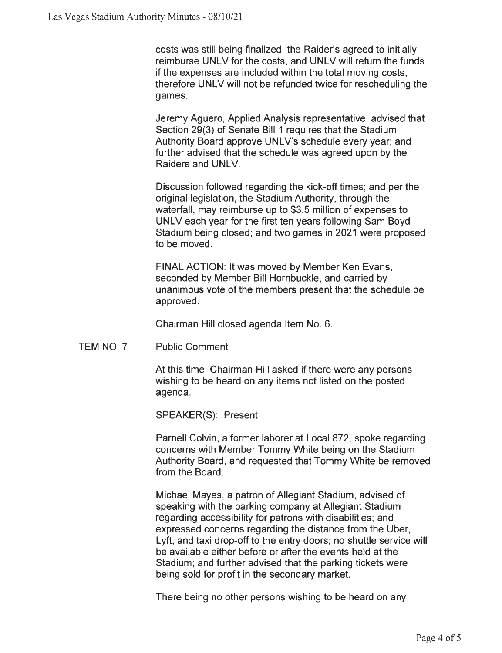costs was still being finalized; the Raider's agreed to initially reimburse UNLV for the costs, and UNLV will return the funds if the expenses are included within the total moving costs, therefore UNLV will not be refunded twice for rescheduling the games.

Jeremy Aguero, Applied Analysis representative, advised that Section 29(3) of Senate Bill 1 requires that the Stadium Authority Board approve UNLV's schedule every year; and further advised that the schedule was agreed upon by the Raiders and UNLV.

Discussion followed regarding the kick-off times; and per the original legislation, the Stadium Authority, through the waterfall, may reimburse up to \$3.5 million of expenses to UNLV each year for the first ten years following Sam Boyd Stadium being closed; and two games in 2021 were proposed to be moved.

FINAL ACTION: It was moved by Member Ken Evans, seconded by Member Bill Hornbuckle, and carried by unanimous vote of the members present that the schedule be approved.

Chairman Hill closed agenda Item No. 6.

ITEM NO. 7 Public Comment

> At this time, Chairman Hill asked if there were any persons wishing to be heard on any items not listed on the posted agenda.

SPEAKER(S): Present

Parnell Colvin, a former laborer at Local 872, spoke regarding concerns with Member Tommy White being on the Stadium Authority Board, and requested that Tommy White be removed from the Board.

Michael Mayes, a patron of Allegiant Stadium, advised of speaking with the parking company at Allegiant Stadium regarding accessibility for patrons with disabilities; and expressed concerns regarding the distance from the Uber, Lyft, and taxi drop-off to the entry doors; no shuttle service will be available either before or after the events held at the Stadium; and further advised that the parking tickets were being sold for profit in the secondary market.

There being no other persons wishing to be heard on any